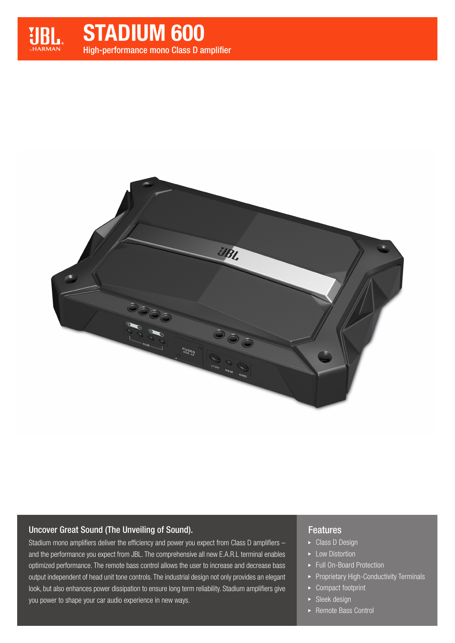IJ



## Uncover Great Sound (The Unveiling of Sound).

Stadium mono amplifiers deliver the efficiency and power you expect from Class D amplifiers – and the performance you expect from JBL. The comprehensive all new E.A.R.L terminal enables optimized performance. The remote bass control allows the user to increase and decrease bass output independent of head unit tone controls. The industrial design not only provides an elegant look, but also enhances power dissipation to ensure long term reliability. Stadium amplifiers give you power to shape your car audio experience in new ways.

# Features

- ► Class D Design
- ▶ Low Distortion
- Full On-Board Protection
- Proprietary High-Conductivity Terminals
- ▶ Compact footprint
- $\blacktriangleright$  Sleek design
- ▶ Remote Bass Control